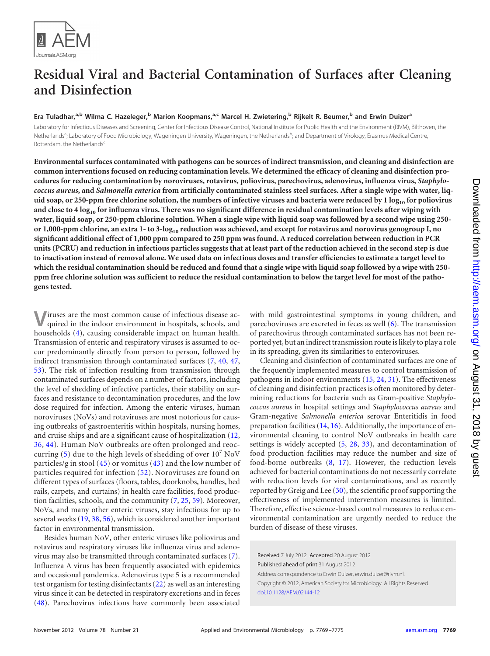

# **Residual Viral and Bacterial Contamination of Surfaces after Cleaning and Disinfection**

# **Era Tuladhar, a,b Wilma C. Hazeleger, <sup>b</sup> Marion Koopmans, a,c Marcel H. Zwietering, <sup>b</sup> Rijkelt R. Beumer, <sup>b</sup> and Erwin Duizera**

Laboratory for Infectious Diseases and Screening, Center for Infectious Disease Control, National Institute for Public Health and the Environment (RIVM), Bilthoven, the Netherlands<sup>a</sup>; Laboratory of Food Microbiology, Wageningen University, Wageningen, the Netherlands<sup>b</sup>; and Department of Virology, Erasmus Medical Centre, Rotterdam, the Netherlands<sup>c</sup>

**Environmental surfaces contaminated with pathogens can be sources of indirect transmission, and cleaning and disinfection are common interventions focused on reducing contamination levels. We determined the efficacy of cleaning and disinfection procedures for reducing contamination by noroviruses, rotavirus, poliovirus, parechovirus, adenovirus, influenza virus,** *Staphylococcus aureus***, and** *Salmonella enterica* **from artificially contaminated stainless steel surfaces. After a single wipe with water, liquid soap, or 250-ppm free chlorine solution, the numbers of infective viruses and bacteria were reduced by 1 log10 for poliovirus and close to 4 log10 for influenza virus. There was no significant difference in residual contamination levels after wiping with water, liquid soap, or 250-ppm chlorine solution. When a single wipe with liquid soap was followed by a second wipe using 250 or 1,000-ppm chlorine, an extra 1- to 3-log10 reduction was achieved, and except for rotavirus and norovirus genogroup I, no significant additional effect of 1,000 ppm compared to 250 ppm was found. A reduced correlation between reduction in PCR units (PCRU) and reduction in infectious particles suggests that at least part of the reduction achieved in the second step is due to inactivation instead of removal alone. We used data on infectious doses and transfer efficiencies to estimate a target level to which the residual contamination should be reduced and found that a single wipe with liquid soap followed by a wipe with 250 ppm free chlorine solution was sufficient to reduce the residual contamination to below the target level for most of the pathogens tested.**

**V**iruses are the most common cause of infectious disease ac-quired in the indoor environment in hospitals, schools, and households [\(4\)](#page-5-0), causing considerable impact on human health. Transmission of enteric and respiratory viruses is assumed to occur predominantly directly from person to person, followed by indirect transmission through contaminated surfaces [\(7,](#page-5-1) [40,](#page-6-0) [47,](#page-6-1) [53\)](#page-6-2). The risk of infection resulting from transmission through contaminated surfaces depends on a number of factors, including the level of shedding of infective particles, their stability on surfaces and resistance to decontamination procedures, and the low dose required for infection. Among the enteric viruses, human noroviruses (NoVs) and rotaviruses are most notorious for causing outbreaks of gastroenteritis within hospitals, nursing homes, and cruise ships and are a significant cause of hospitalization [\(12,](#page-5-2) [36,](#page-6-3) [44\)](#page-6-4). Human NoV outbreaks are often prolonged and reoccurring  $(5)$  due to the high levels of shedding of over  $10^7$  NoV particles/g in stool  $(45)$  or vomitus  $(43)$  and the low number of particles required for infection [\(52\)](#page-6-7). Noroviruses are found on different types of surfaces (floors, tables, doorknobs, handles, bed rails, carpets, and curtains) in health care facilities, food production facilities, schools, and the community [\(7,](#page-5-1) [25,](#page-6-8) [59\)](#page-6-9). Moreover, NoVs, and many other enteric viruses, stay infectious for up to several weeks [\(19,](#page-5-4) [38,](#page-6-10) [56\)](#page-6-11), which is considered another important factor in environmental transmission.

Besides human NoV, other enteric viruses like poliovirus and rotavirus and respiratory viruses like influenza virus and adenovirus may also be transmitted through contaminated surfaces [\(7\)](#page-5-1). Influenza A virus has been frequently associated with epidemics and occasional pandemics. Adenovirus type 5 is a recommended test organism for testing disinfectants [\(22\)](#page-5-5) as well as an interesting virus since it can be detected in respiratory excretions and in feces [\(48\)](#page-6-12). Parechovirus infections have commonly been associated

with mild gastrointestinal symptoms in young children, and parechoviruses are excreted in feces as well [\(6\)](#page-5-6). The transmission of parechovirus through contaminated surfaces has not been reported yet, but an indirect transmission route is likely to play a role in its spreading, given its similarities to enteroviruses.

Cleaning and disinfection of contaminated surfaces are one of the frequently implemented measures to control transmission of pathogens in indoor environments [\(15,](#page-5-7) [24,](#page-6-13) [31\)](#page-6-14). The effectiveness of cleaning and disinfection practices is often monitored by determining reductions for bacteria such as Gram-positive *Staphylococcus aureus* in hospital settings and *Staphylococcus aureus* and Gram-negative *Salmonella enterica* serovar Enteritidis in food preparation facilities [\(14,](#page-5-8) [16\)](#page-5-9). Additionally, the importance of environmental cleaning to control NoV outbreaks in health care settings is widely accepted  $(5, 28, 33)$  $(5, 28, 33)$  $(5, 28, 33)$  $(5, 28, 33)$  $(5, 28, 33)$ , and decontamination of food production facilities may reduce the number and size of food-borne outbreaks [\(8,](#page-5-10) [17\)](#page-5-11). However, the reduction levels achieved for bacterial contaminations do not necessarily correlate with reduction levels for viral contaminations, and as recently reported by Greig and Lee [\(30\)](#page-6-17), the scientific proof supporting the effectiveness of implemented intervention measures is limited. Therefore, effective science-based control measures to reduce environmental contamination are urgently needed to reduce the burden of disease of these viruses.

Received 7 July 2012 Accepted 20 August 2012 Published ahead of print 31 August 2012 Address correspondence to Erwin Duizer, erwin.duizer@rivm.nl. Copyright © 2012, American Society for Microbiology. All Rights Reserved. [doi:10.1128/AEM.02144-12](http://dx.doi.org/10.1128/AEM.02144-12)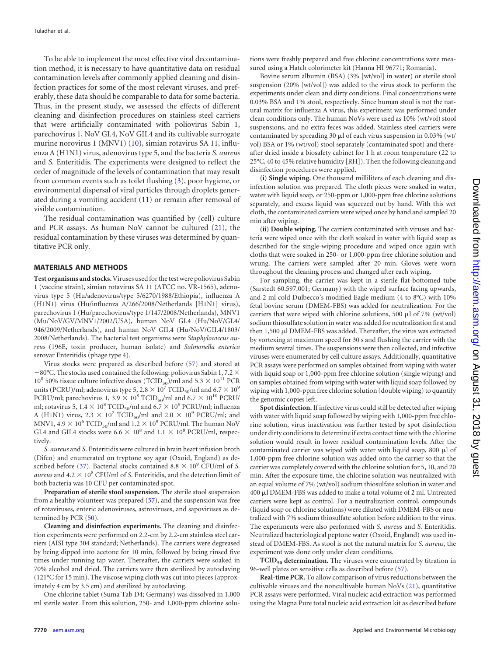To be able to implement the most effective viral decontamination method, it is necessary to have quantitative data on residual contamination levels after commonly applied cleaning and disinfection practices for some of the most relevant viruses, and preferably, these data should be comparable to data for some bacteria. Thus, in the present study, we assessed the effects of different cleaning and disinfection procedures on stainless steel carriers that were artificially contaminated with poliovirus Sabin 1, parechovirus 1, NoV GI.4, NoV GII.4 and its cultivable surrogate murine norovirus 1 (MNV1) [\(10\)](#page-5-12), simian rotavirus SA 11, influenza A (H1N1) virus, adenovirus type 5, and the bacteria *S. aureus* and *S.* Enteritidis. The experiments were designed to reflect the order of magnitude of the levels of contamination that may result from common events such as toilet flushing [\(3\)](#page-5-13), poor hygiene, or environmental dispersal of viral particles through droplets generated during a vomiting accident [\(11\)](#page-5-14) or remain after removal of visible contamination.

The residual contamination was quantified by (cell) culture and PCR assays. As human NoV cannot be cultured [\(21\)](#page-5-15), the residual contamination by these viruses was determined by quantitative PCR only.

#### **MATERIALS AND METHODS**

**Test organisms and stocks.**Viruses used for the test were poliovirus Sabin 1 (vaccine strain), simian rotavirus SA 11 (ATCC no. VR-1565), adenovirus type 5 (Hu/adenovirus/type 5/6270/1988/Ethiopia), influenza A (H1N1) virus (Hu/influenza A/266/2008/Netherlands [H1N1] virus), parechovirus 1 (Hu/parechovirus/type 1/147/2008/Netherlands), MNV1 (Mu/NoV/GV/MNV1/2002/USA), human NoV GI.4 (Hu/NoV/GI.4/ 946/2009/Netherlands), and human NoV GII.4 (Hu/NoV/GII.4/1803/ 2008/Netherlands). The bacterial test organisms were *Staphylococcus aureus* (196E, toxin producer, human isolate) and *Salmonella enterica* serovar Enteritidis (phage type 4).

Virus stocks were prepared as described before [\(57\)](#page-6-18) and stored at  $-80^{\circ}$ C. The stocks used contained the following: poliovirus Sabin 1, 7.2  $\times$  $10^8$  50% tissue culture infective doses  $(\text{TCID}_{50})/\text{ml}$  and  $5.3 \times 10^{11}$  PCR units (PCRU)/ml; adenovirus type 5, 2.8  $\times$  10<sup>7</sup> TCID<sub>50</sub>/ml and 6.7  $\times$  10<sup>9</sup> PCRU/ml; parechovirus 1, 3.9  $\times$  10<sup>8</sup> TCID<sub>50</sub>/ml and 6.7  $\times$  10<sup>10</sup> PCRU/ ml; rotavirus 5,  $1.4 \times 10^8$  TCID<sub>50</sub>/ml and  $6.7 \times 10^9$  PCRU/ml; influenza A (H1N1) virus,  $2.3 \times 10^7$  TCID<sub>50</sub>/ml and  $2.0 \times 10^9$  PCRU/ml; and MNV1, 4.9  $\times$  10<sup>6</sup> TCID<sub>50</sub>/ml and 1.2  $\times$  10<sup>9</sup> PCRU/ml. The human NoV GI.4 and GII.4 stocks were  $6.6 \times 10^8$  and  $1.1 \times 10^8$  PCRU/ml, respectively.

*S. aureus* and *S*. Enteritidis were cultured in brain heart infusion broth (Difco) and enumerated on tryptone soy agar (Oxoid, England) as de-scribed before [\(37\)](#page-6-19). Bacterial stocks contained  $8.8 \times 10^9$  CFU/ml of *S*. aureus and  $4.2 \times 10^8$  CFU/ml of *S*. Enteritidis, and the detection limit of both bacteria was 10 CFU per contaminated spot.

**Preparation of sterile stool suspension.** The sterile stool suspension from a healthy volunteer was prepared [\(57\)](#page-6-18), and the suspension was free of rotaviruses, enteric adenoviruses, astroviruses, and sapoviruses as determined by PCR [\(50\)](#page-6-20).

**Cleaning and disinfection experiments.** The cleaning and disinfection experiments were performed on 2.2-cm by 2.2-cm stainless steel carriers (AISI type 304 standard; Netherlands). The carriers were degreased by being dipped into acetone for 10 min, followed by being rinsed five times under running tap water. Thereafter, the carriers were soaked in 70% alcohol and dried. The carriers were then sterilized by autoclaving (121°C for 15 min). The viscose wiping cloth was cut into pieces (approximately 4 cm by 3.5 cm) and sterilized by autoclaving.

One chlorine tablet (Suma Tab D4; Germany) was dissolved in 1,000 ml sterile water. From this solution, 250- and 1,000-ppm chlorine solu-

tions were freshly prepared and free chlorine concentrations were measured using a Hatch colorimeter kit (Hanna HI 96771; Romania).

Bovine serum albumin (BSA) (3% [wt/vol] in water) or sterile stool suspension (20% [wt/vol]) was added to the virus stock to perform the experiments under clean and dirty conditions. Final concentrations were 0.03% BSA and 1% stool, respectively. Since human stool is not the natural matrix for influenza A virus, this experiment was performed under clean conditions only. The human NoVs were used as 10% (wt/vol) stool suspensions, and no extra feces was added. Stainless steel carriers were contaminated by spreading 30  $\mu$ l of each virus suspension in 0.03% (wt/ vol) BSA or 1% (wt/vol) stool separately (contaminated spot) and thereafter dried inside a biosafety cabinet for 1 h at room temperature (22 to 25°C, 40 to 45% relative humidity [RH]). Then the following cleaning and disinfection procedures were applied.

**(i) Single wiping.** One thousand milliliters of each cleaning and disinfection solution was prepared. The cloth pieces were soaked in water, water with liquid soap, or 250-ppm or 1,000-ppm free chlorine solutions separately, and excess liquid was squeezed out by hand. With this wet cloth, the contaminated carriers were wiped once by hand and sampled 20 min after wiping.

**(ii) Double wiping.** The carriers contaminated with viruses and bacteria were wiped once with the cloth soaked in water with liquid soap as described for the single-wiping procedure and wiped once again with cloths that were soaked in 250- or 1,000-ppm free chlorine solution and wrung. The carriers were sampled after 20 min. Gloves were worn throughout the cleaning process and changed after each wiping.

For sampling, the carrier was kept in a sterile flat-bottomed tube (Sarstedt 60.597.001; Germany) with the wiped surface facing upwards, and 2 ml cold Dulbecco's modified Eagle medium (4 to 8°C) with 10% fetal bovine serum (DMEM-FBS) was added for neutralization. For the carriers that were wiped with chlorine solutions, 500  $\mu$ l of 7% (wt/vol) sodium thiosulfate solution in water was added for neutralization first and then 1,500 µl DMEM-FBS was added. Thereafter, the virus was extracted by vortexing at maximum speed for 30 s and flushing the carrier with the medium several times. The suspensions were then collected, and infective viruses were enumerated by cell culture assays. Additionally, quantitative PCR assays were performed on samples obtained from wiping with water with liquid soap or 1,000-ppm free chlorine solution (single wiping) and on samples obtained from wiping with water with liquid soap followed by wiping with 1,000-ppm free chlorine solution (double wiping) to quantify the genomic copies left.

**Spot disinfection.** If infective virus could still be detected after wiping with water with liquid soap followed by wiping with 1,000-ppm free chlorine solution, virus inactivation was further tested by spot disinfection under dirty conditions to determine if extra contact time with the chlorine solution would result in lower residual contamination levels. After the contaminated carrier was wiped with water with liquid soap, 800  $\mu$ l of 1,000-ppm free chlorine solution was added onto the carrier so that the carrier was completely covered with the chlorine solution for 5, 10, and 20 min. After the exposure time, the chlorine solution was neutralized with an equal volume of 7% (wt/vol) sodium thiosulfate solution in water and 400 µl DMEM-FBS was added to make a total volume of 2 ml. Untreated carriers were kept as control. For a neutralization control, compounds (liquid soap or chlorine solutions) were diluted with DMEM-FBS or neutralized with 7% sodium thiosulfate solution before addition to the virus. The experiments were also performed with *S. aureus* and *S.* Enteritidis. Neutralized bacteriological peptone water (Oxoid, England) was used instead of DMEM-FBS. As stool is not the natural matrix for *S. aureus*, the experiment was done only under clean conditions.

**TCID<sub>50</sub>** determination. The viruses were enumerated by titration in 96-well plates on sensitive cells as described before [\(57\)](#page-6-18).

**Real-time PCR.** To allow comparison of virus reductions between the cultivable viruses and the noncultivable human NoVs [\(21\)](#page-5-15), quantitative PCR assays were performed. Viral nucleic acid extraction was performed using the Magna Pure total nucleic acid extraction kit as described before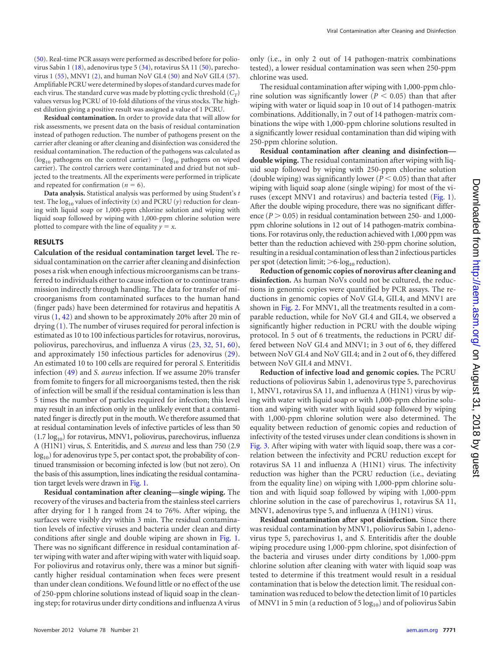**Residual contamination.** In order to provide data that will allow for risk assessments, we present data on the basis of residual contamination instead of pathogen reduction. The number of pathogens present on the carrier after cleaning or after cleaning and disinfection was considered the residual contamination. The reduction of the pathogens was calculated as ( $log_{10}$  pathogens on the control carrier) - ( $log_{10}$  pathogens on wiped carrier). The control carriers were contaminated and dried but not subjected to the treatments. All the experiments were performed in triplicate and repeated for confirmation  $(n = 6)$ .

**Data analysis.** Statistical analysis was performed by using Student's *t* test. The  $log_{10}$  values of infectivity (*x*) and PCRU (*y*) reduction for cleaning with liquid soap or 1,000-ppm chlorine solution and wiping with liquid soap followed by wiping with 1,000-ppm chlorine solution were plotted to compare with the line of equality  $y = x$ .

#### **RESULTS**

**Calculation of the residual contamination target level.** The residual contamination on the carrier after cleaning and disinfection poses a risk when enough infectious microorganisms can be transferred to individuals either to cause infection or to continue transmission indirectly through handling. The data for transfer of microorganisms from contaminated surfaces to the human hand (finger pads) have been determined for rotavirus and hepatitis A virus  $(1, 42)$  $(1, 42)$  $(1, 42)$  and shown to be approximately 20% after 20 min of drying [\(1\)](#page-5-18). The number of viruses required for peroral infection is estimated as 10 to 100 infectious particles for rotavirus, norovirus, poliovirus, parechovirus, and influenza A virus [\(23,](#page-6-24) [32,](#page-6-25) [51,](#page-6-26) [60\)](#page-6-27), and approximately 150 infectious particles for adenovirus [\(29\)](#page-6-28). An estimated 10 to 100 cells are required for peroral *S.* Enteritidis infection [\(49\)](#page-6-29) and *S. aureus* infection*.* If we assume 20% transfer from fomite to fingers for all microorganisms tested, then the risk of infection will be small if the residual contamination is less than 5 times the number of particles required for infection; this level may result in an infection only in the unlikely event that a contaminated finger is directly put in the mouth. We therefore assumed that at residual contamination levels of infective particles of less than 50  $(1.7 \log_{10})$  for rotavirus, MNV1, poliovirus, parechovirus, influenza A (H1N1) virus, *S.* Enteritidis, and *S. aureus* and less than 750 (2.9  $log_{10}$ ) for adenovirus type 5, per contact spot, the probability of continued transmission or becoming infected is low (but not zero). On the basis of this assumption, lines indicating the residual contamination target levels were drawn in [Fig. 1.](#page-3-0)

**Residual contamination after cleaning—single wiping.** The recovery of the viruses and bacteria from the stainless steel carriers after drying for 1 h ranged from 24 to 76%. After wiping, the surfaces were visibly dry within 3 min. The residual contamination levels of infective viruses and bacteria under clean and dirty conditions after single and double wiping are shown in [Fig. 1.](#page-3-0) There was no significant difference in residual contamination after wiping with water and after wiping with water with liquid soap. For poliovirus and rotavirus only, there was a minor but significantly higher residual contamination when feces were present than under clean conditions. We found little or no effect of the use of 250-ppm chlorine solutions instead of liquid soap in the cleaning step; for rotavirus under dirty conditions and influenza A virus

only (i.e., in only 2 out of 14 pathogen-matrix combinations tested), a lower residual contamination was seen when 250-ppm chlorine was used.

The residual contamination after wiping with 1,000-ppm chlorine solution was significantly lower ( $P < 0.05$ ) than that after wiping with water or liquid soap in 10 out of 14 pathogen-matrix combinations. Additionally, in 7 out of 14 pathogen-matrix combinations the wipe with 1,000-ppm chlorine solutions resulted in a significantly lower residual contamination than did wiping with 250-ppm chlorine solution.

**Residual contamination after cleaning and disinfection double wiping.** The residual contamination after wiping with liquid soap followed by wiping with 250-ppm chlorine solution (double wiping) was significantly lower ( $P \leq 0.05$ ) than that after wiping with liquid soap alone (single wiping) for most of the viruses (except MNV1 and rotavirus) and bacteria tested [\(Fig. 1\)](#page-3-0). After the double wiping procedure, there was no significant difference  $(P > 0.05)$  in residual contamination between 250- and 1,000ppm chlorine solutions in 12 out of 14 pathogen-matrix combinations. For rotavirus only, the reduction achieved with 1,000 ppm was better than the reduction achieved with 250-ppm chorine solution, resultingin a residual contamination of less than 2infectious particles per spot (detection limit;  $>6$ -log<sub>10</sub> reduction).

**Reduction of genomic copies of norovirus after cleaning and disinfection.** As human NoVs could not be cultured, the reductions in genomic copies were quantified by PCR assays. The reductions in genomic copies of NoV GI.4, GII.4, and MNV1 are shown in [Fig. 2.](#page-4-0) For MNV1, all the treatments resulted in a comparable reduction, while for NoV GI.4 and GII.4, we observed a significantly higher reduction in PCRU with the double wiping protocol. In 5 out of 6 treatments, the reductions in PCRU differed between NoV GI.4 and MNV1; in 3 out of 6, they differed between NoV GI.4 and NoV GII.4; and in 2 out of 6, they differed between NoV GII.4 and MNV1.

**Reduction of infective load and genomic copies.** The PCRU reductions of poliovirus Sabin 1, adenovirus type 5, parechovirus 1, MNV1, rotavirus SA 11, and influenza A (H1N1) virus by wiping with water with liquid soap or with 1,000-ppm chlorine solution and wiping with water with liquid soap followed by wiping with 1,000-ppm chlorine solution were also determined. The equality between reduction of genomic copies and reduction of infectivity of the tested viruses under clean conditions is shown in [Fig. 3.](#page-4-1) After wiping with water with liquid soap, there was a correlation between the infectivity and PCRU reduction except for rotavirus SA 11 and influenza A (H1N1) virus. The infectivity reduction was higher than the PCRU reduction (i.e., deviating from the equality line) on wiping with 1,000-ppm chlorine solution and with liquid soap followed by wiping with 1,000-ppm chlorine solution in the case of parechovirus 1, rotavirus SA 11, MNV1, adenovirus type 5, and influenza A (H1N1) virus.

**Residual contamination after spot disinfection.** Since there was residual contamination by MNV1, poliovirus Sabin 1, adenovirus type 5, parechovirus 1, and *S.* Enteritidis after the double wiping procedure using 1,000-ppm chlorine, spot disinfection of the bacteria and viruses under dirty conditions by 1,000-ppm chlorine solution after cleaning with water with liquid soap was tested to determine if this treatment would result in a residual contamination that is below the detection limit. The residual contamination was reduced to below the detection limit of 10 particles of MNV1 in 5 min (a reduction of 5  $log_{10}$ ) and of poliovirus Sabin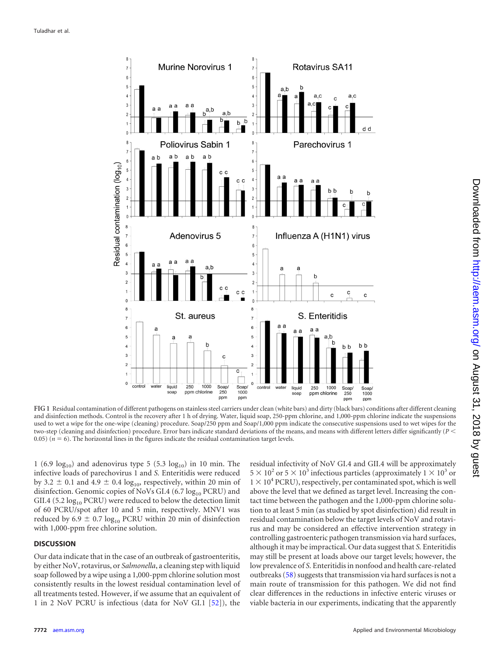

<span id="page-3-0"></span>**FIG 1** Residual contamination of different pathogens on stainless steel carriers under clean (white bars) and dirty (black bars) conditions after different cleaning and disinfection methods. Control is the recovery after 1 h of drying. Water, liquid soap, 250-ppm chlorine, and 1,000-ppm chlorine indicate the suspensions used to wet a wipe for the one-wipe (cleaning) procedure. Soap/250 ppm and Soap/1,000 ppm indicate the consecutive suspensions used to wet wipes for the two-step (cleaning and disinfection) procedure. Error bars indicate standard deviations of the means, and means with different letters differ significantly (*P* 0.05) ( $n = 6$ ). The horizontal lines in the figures indicate the residual contamination target levels.

1 (6.9  $log_{10}$ ) and adenovirus type 5 (5.3  $log_{10}$ ) in 10 min. The infective loads of parechovirus 1 and *S.* Enteritidis were reduced by 3.2  $\pm$  0.1 and 4.9  $\pm$  0.4 log<sub>10</sub>, respectively, within 20 min of disinfection. Genomic copies of NoVs GI.4 (6.7  $log_{10}$  PCRU) and GII.4 (5.2  $log_{10}$  PCRU) were reduced to below the detection limit of 60 PCRU/spot after 10 and 5 min, respectively. MNV1 was reduced by 6.9  $\pm$  0.7 log<sub>10</sub> PCRU within 20 min of disinfection with 1,000-ppm free chlorine solution.

### **DISCUSSION**

Our data indicate that in the case of an outbreak of gastroenteritis, by either NoV, rotavirus, or *Salmonella*, a cleaning step with liquid soap followed by a wipe using a 1,000-ppm chlorine solution most consistently results in the lowest residual contamination level of all treatments tested. However, if we assume that an equivalent of 1 in 2 NoV PCRU is infectious (data for NoV GI.1 [\[52\]](#page-6-7)), the

residual infectivity of NoV GI.4 and GII.4 will be approximately  $5 \times 10^2$  or  $5 \times 10^3$  infectious particles (approximately  $1 \times 10^3$  or  $1 \times 10^4$  PCRU), respectively, per contaminated spot, which is well above the level that we defined as target level. Increasing the contact time between the pathogen and the 1,000-ppm chlorine solution to at least 5 min (as studied by spot disinfection) did result in residual contamination below the target levels of NoV and rotavirus and may be considered an effective intervention strategy in controlling gastroenteric pathogen transmission via hard surfaces, although it may be impractical. Our data suggest that *S.* Enteritidis may still be present at loads above our target levels; however, the low prevalence of *S.* Enteritidis in nonfood and health care-related outbreaks [\(58\)](#page-6-30) suggests that transmission via hard surfaces is not a main route of transmission for this pathogen. We did not find clear differences in the reductions in infective enteric viruses or viable bacteria in our experiments, indicating that the apparently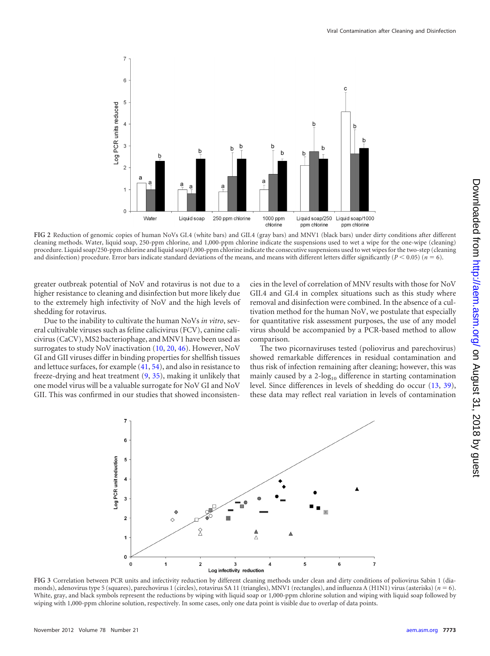

<span id="page-4-0"></span>**FIG 2** Reduction of genomic copies of human NoVs GI.4 (white bars) and GII.4 (gray bars) and MNV1 (black bars) under dirty conditions after different cleaning methods. Water, liquid soap, 250-ppm chlorine, and 1,000-ppm chlorine indicate the suspensions used to wet a wipe for the one-wipe (cleaning) procedure. Liquid soap/250-ppm chlorine and liquid soap/1,000-ppm chlorine indicate the consecutive suspensions used to wet wipes for the two-step (cleaning and disinfection) procedure. Error bars indicate standard deviations of the means, and means with different letters differ significantly  $(P < 0.05)$  ( $n = 6$ ).

greater outbreak potential of NoV and rotavirus is not due to a higher resistance to cleaning and disinfection but more likely due to the extremely high infectivity of NoV and the high levels of shedding for rotavirus.

Due to the inability to cultivate the human NoVs *in vitro*, several cultivable viruses such as feline calicivirus (FCV), canine calicivirus (CaCV), MS2 bacteriophage, and MNV1 have been used as surrogates to study NoV inactivation [\(10,](#page-5-12) [20,](#page-5-19) [46\)](#page-6-31). However, NoV GI and GII viruses differ in binding properties for shellfish tissues and lettuce surfaces, for example [\(41,](#page-6-32) [54\)](#page-6-33), and also in resistance to freeze-drying and heat treatment [\(9,](#page-5-20) [35\)](#page-6-34), making it unlikely that one model virus will be a valuable surrogate for NoV GI and NoV GII. This was confirmed in our studies that showed inconsistencies in the level of correlation of MNV results with those for NoV GII.4 and GI.4 in complex situations such as this study where removal and disinfection were combined. In the absence of a cultivation method for the human NoV, we postulate that especially for quantitative risk assessment purposes, the use of any model virus should be accompanied by a PCR-based method to allow comparison.

The two picornaviruses tested (poliovirus and parechovirus) showed remarkable differences in residual contamination and thus risk of infection remaining after cleaning; however, this was mainly caused by a  $2$ -log<sub>10</sub> difference in starting contamination level. Since differences in levels of shedding do occur [\(13,](#page-5-21) [39\)](#page-6-35), these data may reflect real variation in levels of contamination



<span id="page-4-1"></span>**FIG 3** Correlation between PCR units and infectivity reduction by different cleaning methods under clean and dirty conditions of poliovirus Sabin 1 (diamonds), adenovirus type 5 (squares), parechovirus 1 (circles), rotavirus SA 11 (triangles), MNV1 (rectangles), and influenza A (H1N1) virus (asterisks) (*n* 6). White, gray, and black symbols represent the reductions by wiping with liquid soap or 1,000-ppm chlorine solution and wiping with liquid soap followed by wiping with 1,000-ppm chlorine solution, respectively. In some cases, only one data point is visible due to overlap of data points.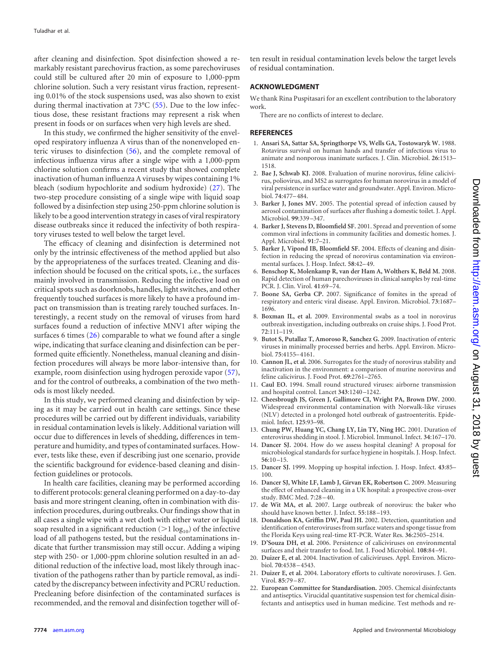after cleaning and disinfection. Spot disinfection showed a remarkably resistant parechovirus fraction, as some parechoviruses could still be cultured after 20 min of exposure to 1,000-ppm chlorine solution. Such a very resistant virus fraction, representing 0.01% of the stock suspensions used, was also shown to exist during thermal inactivation at 73°C [\(55\)](#page-6-22). Due to the low infectious dose, these resistant fractions may represent a risk when present in foods or on surfaces when very high levels are shed.

In this study, we confirmed the higher sensitivity of the enveloped respiratory influenza A virus than of the nonenveloped enteric viruses to disinfection [\(56\)](#page-6-11), and the complete removal of infectious influenza virus after a single wipe with a 1,000-ppm chlorine solution confirms a recent study that showed complete inactivation of human influenza A viruses by wipes containing 1% bleach (sodium hypochlorite and sodium hydroxide) [\(27\)](#page-6-36). The two-step procedure consisting of a single wipe with liquid soap followed by a disinfection step using 250-ppm chlorine solution is likely to be a good intervention strategy in cases of viral respiratory disease outbreaks since it reduced the infectivity of both respiratory viruses tested to well below the target level.

The efficacy of cleaning and disinfection is determined not only by the intrinsic effectiveness of the method applied but also by the appropriateness of the surfaces treated. Cleaning and disinfection should be focused on the critical spots, i.e., the surfaces mainly involved in transmission. Reducing the infective load on critical spots such as doorknobs, handles, light switches, and other frequently touched surfaces is more likely to have a profound impact on transmission than is treating rarely touched surfaces. Interestingly, a recent study on the removal of viruses from hard surfaces found a reduction of infective MNV1 after wiping the surfaces 6 times [\(26\)](#page-6-37) comparable to what we found after a single wipe, indicating that surface cleaning and disinfection can be performed quite efficiently. Nonetheless, manual cleaning and disinfection procedures will always be more labor-intensive than, for example, room disinfection using hydrogen peroxide vapor [\(57\)](#page-6-18), and for the control of outbreaks, a combination of the two methods is most likely needed.

In this study, we performed cleaning and disinfection by wiping as it may be carried out in health care settings. Since these procedures will be carried out by different individuals, variability in residual contamination levels is likely. Additional variation will occur due to differences in levels of shedding, differences in temperature and humidity, and types of contaminated surfaces. However, tests like these, even if describing just one scenario, provide the scientific background for evidence-based cleaning and disinfection guidelines or protocols.

In health care facilities, cleaning may be performed according to different protocols: general cleaning performed on a day-to-day basis and more stringent cleaning, often in combination with disinfection procedures, during outbreaks. Our findings show that in all cases a single wipe with a wet cloth with either water or liquid soap resulted in a significant reduction ( $>$ 1 log<sub>10</sub>) of the infective load of all pathogens tested, but the residual contaminations indicate that further transmission may still occur. Adding a wiping step with 250- or 1,000-ppm chlorine solution resulted in an additional reduction of the infective load, most likely through inactivation of the pathogens rather than by particle removal, as indicated by the discrepancy between infectivity and PCRU reduction. Precleaning before disinfection of the contaminated surfaces is recommended, and the removal and disinfection together will often result in residual contamination levels below the target levels of residual contamination.

## **ACKNOWLEDGMENT**

We thank Rina Puspitasari for an excellent contribution to the laboratory work.

There are no conflicts of interest to declare.

#### <span id="page-5-18"></span>**REFERENCES**

- 1. **Ansari SA, Sattar SA, Springthorpe VS, Wells GA, Tostowaryk W.** 1988. Rotavirus survival on human hands and transfer of infectious virus to animate and nonporous inanimate surfaces. J. Clin. Microbiol. **26**:1513– 1518.
- <span id="page-5-17"></span>2. **Bae J, Schwab KJ.** 2008. Evaluation of murine norovirus, feline calicivirus, poliovirus, and MS2 as surrogates for human norovirus in a model of viral persistence in surface water and groundwater. Appl. Environ. Microbiol. **74**:477–484.
- <span id="page-5-13"></span>3. **Barker J, Jones MV.** 2005. The potential spread of infection caused by aerosol contamination of surfaces after flushing a domestic toilet. J. Appl. Microbiol. **99**:339 –347.
- <span id="page-5-0"></span>4. **Barker J, Stevens D, Bloomfield SF.** 2001. Spread and prevention of some common viral infections in community facilities and domestic homes. J. Appl. Microbiol. **91**:7–21.
- <span id="page-5-3"></span>5. **Barker J, Vipond IB, Bloomfield SF.** 2004. Effects of cleaning and disinfection in reducing the spread of norovirus contamination via environmental surfaces. J. Hosp. Infect. **58**:42–49.
- <span id="page-5-6"></span>6. **Benschop K, Molenkamp R, van der Ham A, Wolthers K, Beld M.** 2008. Rapid detection of human parechoviruses in clinical samples by real-time PCR. J. Clin. Virol. **41**:69 –74.
- <span id="page-5-1"></span>7. **Boone SA, Gerba CP.** 2007. Significance of fomites in the spread of respiratory and enteric viral disease. Appl. Environ. Microbiol. **73**:1687– 1696.
- <span id="page-5-10"></span>8. **Boxman IL, et al.** 2009. Environmental swabs as a tool in norovirus outbreak investigation, including outbreaks on cruise ships. J. Food Prot. **72**:111–119.
- <span id="page-5-20"></span>9. **Butot S, Putallaz T, Amoroso R, Sanchez G.** 2009. Inactivation of enteric viruses in minimally processed berries and herbs. Appl. Environ. Microbiol. **75**:4155–4161.
- <span id="page-5-12"></span>10. **Cannon JL, et al.** 2006. Surrogates for the study of norovirus stability and inactivation in the environment: a comparison of murine norovirus and feline calicivirus. J. Food Prot. **69**:2761–2765.
- <span id="page-5-14"></span>11. **Caul EO.** 1994. Small round structured viruses: airborne transmission and hospital control. Lancet **343**:1240 –1242.
- <span id="page-5-2"></span>12. **Cheesbrough JS, Green J, Gallimore CI, Wright PA, Brown DW.** 2000. Widespread environmental contamination with Norwalk-like viruses (NLV) detected in a prolonged hotel outbreak of gastroenteritis. Epidemiol. Infect. **125**:93–98.
- <span id="page-5-21"></span>13. **Chung PW, Huang YC, Chang LY, Lin TY, Ning HC.** 2001. Duration of enterovirus shedding in stool. J. Microbiol. Immunol. Infect. **34**:167–170.
- <span id="page-5-8"></span>14. **Dancer SJ.** 2004. How do we assess hospital cleaning? A proposal for microbiological standards for surface hygiene in hospitals. J. Hosp. Infect. **56**:10 –15.
- <span id="page-5-7"></span>15. **Dancer SJ.** 1999. Mopping up hospital infection. J. Hosp. Infect. **43**:85– 100.
- <span id="page-5-9"></span>16. **Dancer SJ, White LF, Lamb J, Girvan EK, Robertson C.** 2009. Measuring the effect of enhanced cleaning in a UK hospital: a prospective cross-over study. BMC Med. **7**:28 –40.
- <span id="page-5-11"></span>17. **de Wit MA, et al.** 2007. Large outbreak of norovirus: the baker who should have known better. J. Infect. **55**:188 –193.
- <span id="page-5-16"></span>18. **Donaldson KA, Griffin DW, Paul JH.** 2002. Detection, quantitation and identification of enteroviruses from surface waters and sponge tissue from the Florida Keys using real-time RT-PCR. Water Res. **36**:2505–2514.
- <span id="page-5-4"></span>19. **D'Souza DH, et al.** 2006. Persistence of caliciviruses on environmental surfaces and their transfer to food. Int. J. Food Microbiol. **108**:84 –91.
- <span id="page-5-19"></span>20. **Duizer E, et al.** 2004. Inactivation of caliciviruses. Appl. Environ. Microbiol. **70**:4538 –4543.
- <span id="page-5-15"></span>21. **Duizer E, et al.** 2004. Laboratory efforts to cultivate noroviruses. J. Gen. Virol. **85**:79 –87.
- <span id="page-5-5"></span>22. **European Committee for Standardisation.** 2005. Chemical disinfectants and antiseptics. Virucidal quantitative suspension test for chemical disinfectants and antiseptics used in human medicine. Test methods and re-